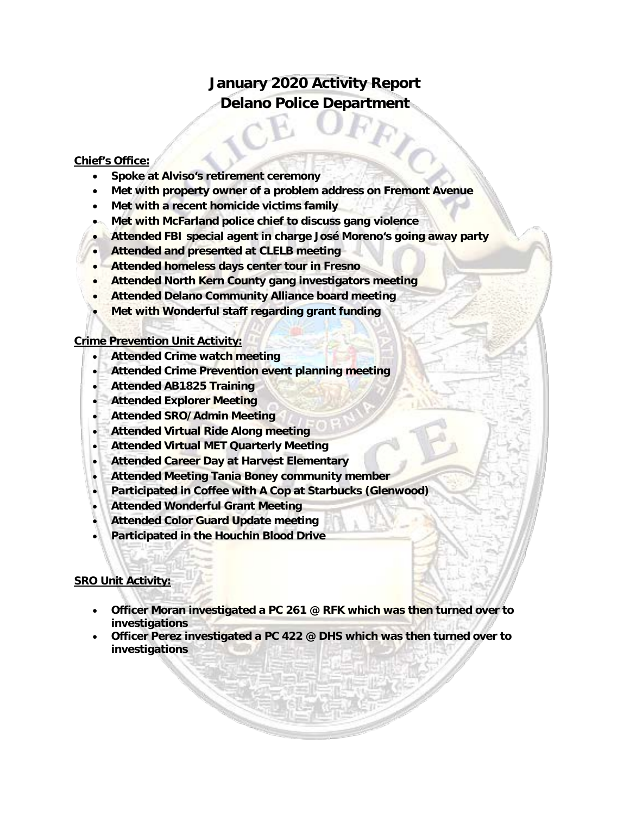## **January 2020 Activity Report Delano Police Department**

## **Chief's Office:**

- **Spoke at Alviso's retirement ceremony**
- **Met with property owner of a problem address on Fremont Avenue**
- **Met with a recent homicide victims family**
- **Met with McFarland police chief to discuss gang violence**
- **Attended FBI special agent in charge José Moreno's going away party**
- **Attended and presented at CLELB meeting**
- **Attended homeless days center tour in Fresno**
- **Attended North Kern County gang investigators meeting**
- **Attended Delano Community Alliance board meeting**
- **Met with Wonderful staff regarding grant funding**

## **Crime Prevention Unit Activity:**

- **Attended Crime watch meeting**
- **Attended Crime Prevention event planning meeting**
- **Attended AB1825 Training**
- **Attended Explorer Meeting**
- **Attended SRO/Admin Meeting**
- **Attended Virtual Ride Along meeting**
- **Attended Virtual MET Quarterly Meeting**
- **Attended Career Day at Harvest Elementary**
- **Attended Meeting Tania Boney community member**
- **Participated in Coffee with A Cop at Starbucks (Glenwood)**
- **Attended Wonderful Grant Meeting**
- **Attended Color Guard Update meeting**
- **Participated in the Houchin Blood Drive**

## **SRO Unit Activity:**

- **Officer Moran investigated a PC 261 @ RFK which was then turned over to investigations**
- **Officer Perez investigated a PC 422 @ DHS which was then turned over to investigations**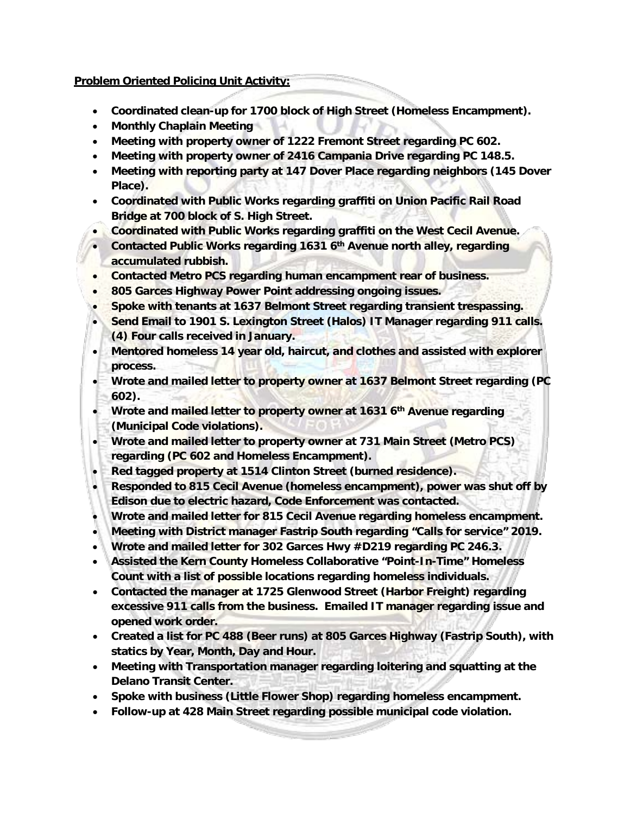## **Problem Oriented Policing Unit Activity:**

- **Coordinated clean-up for 1700 block of High Street (Homeless Encampment).**
- **Monthly Chaplain Meeting**
- **Meeting with property owner of 1222 Fremont Street regarding PC 602.**
- **Meeting with property owner of 2416 Campania Drive regarding PC 148.5.**
- **Meeting with reporting party at 147 Dover Place regarding neighbors (145 Dover Place).**
- **Coordinated with Public Works regarding graffiti on Union Pacific Rail Road Bridge at 700 block of S. High Street.**
- **Coordinated with Public Works regarding graffiti on the West Cecil Avenue.**
- **Contacted Public Works regarding 1631 6th Avenue north alley, regarding accumulated rubbish.**
- **Contacted Metro PCS regarding human encampment rear of business.**
- **805 Garces Highway Power Point addressing ongoing issues.**
- **Spoke with tenants at 1637 Belmont Street regarding transient trespassing.**
- **Send Email to 1901 S. Lexington Street (Halos) IT Manager regarding 911 calls. (4) Four calls received in January.**
- **Mentored homeless 14 year old, haircut, and clothes and assisted with explorer process.**
- **Wrote and mailed letter to property owner at 1637 Belmont Street regarding (PC 602).**
- **Wrote and mailed letter to property owner at 1631 6th Avenue regarding (Municipal Code violations).**
- **Wrote and mailed letter to property owner at 731 Main Street (Metro PCS) regarding (PC 602 and Homeless Encampment).**
- **Red tagged property at 1514 Clinton Street (burned residence).**
- **Responded to 815 Cecil Avenue (homeless encampment), power was shut off by Edison due to electric hazard, Code Enforcement was contacted.**
- **Wrote and mailed letter for 815 Cecil Avenue regarding homeless encampment.**
- **Meeting with District manager Fastrip South regarding "Calls for service" 2019.**
- **Wrote and mailed letter for 302 Garces Hwy #D219 regarding PC 246.3.**
- **Assisted the Kern County Homeless Collaborative "Point-In-Time" Homeless Count with a list of possible locations regarding homeless individuals.**
- **Contacted the manager at 1725 Glenwood Street (Harbor Freight) regarding excessive 911 calls from the business. Emailed IT manager regarding issue and opened work order.**
- **Created a list for PC 488 (Beer runs) at 805 Garces Highway (Fastrip South), with statics by Year, Month, Day and Hour.**
- **Meeting with Transportation manager regarding loitering and squatting at the Delano Transit Center.**
- **Spoke with business (Little Flower Shop) regarding homeless encampment.**
- **Follow-up at 428 Main Street regarding possible municipal code violation.**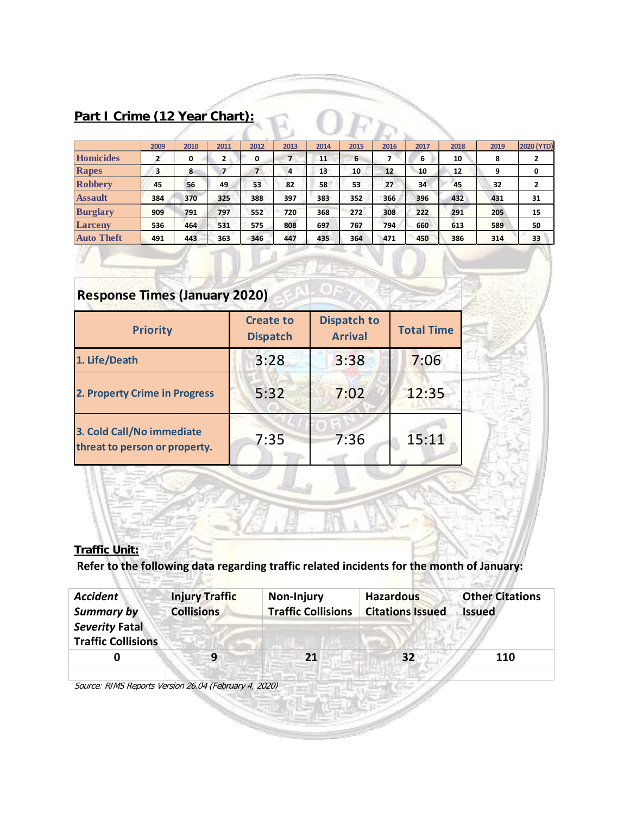## **Part I Crime (12 Year Chart):**

| 2009 | 2010 | 2011         | 2012 | 2013                          | 2014 | 2015 | 2016 | 2017 | 2018 | 2019 | <b>2020 (YTD)</b> |
|------|------|--------------|------|-------------------------------|------|------|------|------|------|------|-------------------|
|      | 0    | $\mathbf{2}$ | 0    | 7                             | 11   | 6    |      | 6    | 10   | 8    | $\mathbf{2}$      |
| 3    | 8    |              | 7    | 4                             | 13   | 10   | 12   | 10   | 12   | 9    | 0                 |
| 45   | 56   | 49           | 53   | 82                            | 58   | 53   | 27   | 34   | 45   | 32   | $\overline{2}$    |
| 384  | 370  | 325          | 388  | 397                           | 383  | 352  | 366  | 396  | 432  | 431  | 31                |
| 909  | 791  | 797          | 552  | 720                           | 368  | 272  | 308  | 222  | 291  | 205  | 15                |
| 536  | 464  | 531          | 575  | 808                           | 697  | 767  | 794  | 660  | 613  | 589  | 50                |
| 491  | 443  | 363          | 346  | 447                           | 435  | 364  | 471  | 450  | 386  | 314  | 33                |
|      |      |              |      | Part I Crime (12 Year Chart): |      |      |      |      |      |      |                   |

# **Response Times (January 2020)**

| <b>Priority</b>                                            | <b>Create to</b><br><b>Dispatch</b> | <b>Dispatch to</b><br><b>Arrival</b> | <b>Total Time</b> |  |
|------------------------------------------------------------|-------------------------------------|--------------------------------------|-------------------|--|
| 1. Life/Death                                              | 3:28                                | 3:38                                 | 7:06              |  |
| 2. Property Crime in Progress                              | 5:32                                | 7:02                                 | 12:35             |  |
| 3. Cold Call/No immediate<br>threat to person or property. | 7:35                                | 7:36                                 | 15:11             |  |

## **Traffic Unit:**

**Refer to the following data regarding traffic related incidents for the month of January:** 

| <b>Accident</b>           | <b>Injury Traffic</b> | <b>Non-Injury</b>         | <b>Hazardous</b>        | <b>Other Citations</b> |
|---------------------------|-----------------------|---------------------------|-------------------------|------------------------|
| <b>Summary by</b>         | <b>Collisions</b>     | <b>Traffic Collisions</b> | <b>Citations Issued</b> | <b>Issued</b>          |
| <b>Severity Fatal</b>     |                       |                           |                         |                        |
| <b>Traffic Collisions</b> |                       |                           |                         |                        |
|                           | q                     | 21                        | 32                      | 110                    |
|                           |                       |                           |                         |                        |

Source: RIMS Reports Version 26.04 (February 4, 2020)